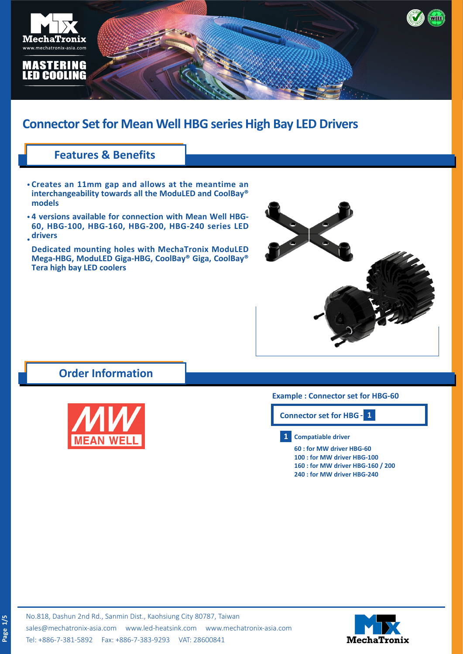

## **Connector Set for Mean Well HBG series High Bay LED Drivers**

### **Features & Benefits**

- **Creates an 11mm gap and allows at the meantime an • interchangeability towards all the ModuLED and CoolBay® models**
- **4 versions available for connection with Mean Well HBG-• 60, HBG-100, HBG-160, HBG-200, HBG-240 series LED drivers •**

**Dedicated mounting holes with MechaTronix ModuLED Mega-HBG, ModuLED Giga-HBG, CoolBay® Giga, CoolBay® Tera high bay LED coolers**



## **Order Information**



### **Example : Connector set for HBG-60**

**Connector set for HBG-1**

#### **1 Compatiable driver**

**60 : for MW driver HBG-60 100 : for MW driver HBG-100 160 : for MW driver HBG-160 / 200 240 : for MW driver HBG-240**